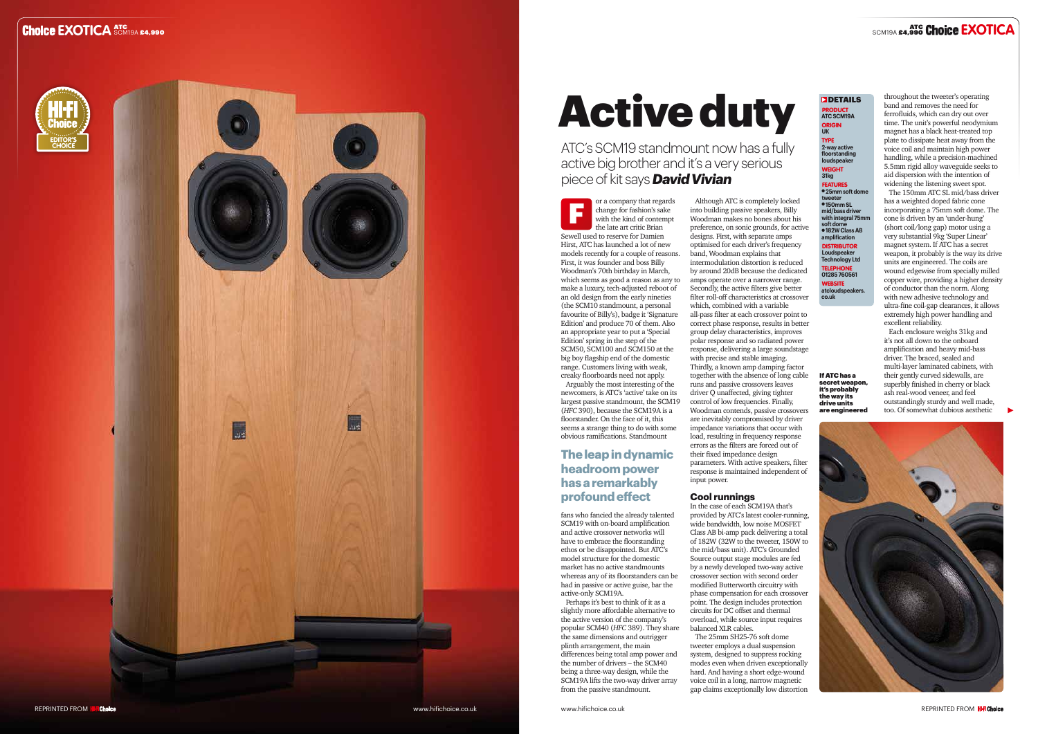Arguably the most interesting of the newcomers, is ATC's 'active' take on its<br>largest passive standmount, the SCM19  $(HFC 390)$ , because the SCM19A is a floorstander. On the face of it, this seems a strange thing to do with some obvious ramifications. Standmount

### **amplification** DISTRIBUTOR

fans who fancied the already talented SCM19 with on-board amplification and active crossover networks will have to embrace the floorstanding ethos or be disappointed. But ATC's model structure for the domestic market has no active standmounts whereas any of its floorstanders can be had in passive or active guise, bar the active-only SCM19A.

Perhaps it's best to think of it as a slightly more affordable alternative to the active version of the company's popular SCM40 (*HFC* 389). They share the same dimensions and outrigger plinth arrangement, the main differences being total amp power and the number of drivers – the SCM40 being a three-way design, while the SCM19A lifts the two-way driver array from the passive standmount.

## **UK** TYPE

**2-way active floorstanding loudspeaker**  WEIGHT **31kg**

FEATURES l **25mm soft dome tweeter** l **150mm SL mid/bass driver with integral 75mm soft dome** l **182W Class AB** 

**Loudspeaker Technology Ltd**  TELEPHONE **01285 760561** WEBSITE

**atcloudspeakers. co.uk**





# Active duty

ATC's SCM19 standmount now has a fully active big brother and it's a very serious piece of kit says *David Vivian*

> Although ATC is completely locked into building passive speakers, Billy Woodman makes no bones about his preference, on sonic grounds, for active designs. First, with separate amps optimised for each driver's frequency band, Woodman explains that intermodulation distortion is reduced by around 20dB because the dedicated amps operate over a narrower range. Secondly, the active filters give better filter roll-off characteristics at crossover which, combined with a variable all-pass filter at each crossover point to correct phase response, results in better group delay characteristics, improves polar response and so radiated power response, delivering a large soundstage with precise and stable imaging. Thirdly, a known amp damping factor together with the absence of long cable runs and passive crossovers leaves driver Q unaffected, giving tighter control of low frequencies. Finally, Woodman contends, passive crossovers are inevitably compromised by driver impedance variations that occur with load, resulting in frequency response errors as the filters are forced out of their fixed impedance design parameters. With active speakers, filter response is maintained independent of input power.

or a company that regards change for fashion's sake with the kind of contempt the late art critic Brian Sewell used to reserve for Damien Hirst, ATC has launched a lot of new models recently for a couple of reasons. First, it was founder and boss Billy Woodman's 70th birthday in March, which seems as good a reason as any to make a luxury, tech-adjusted reboot of an old design from the early nineties (the SCM10 standmount, a personal favourite of Billy's), badge it 'Signature Edition' and produce 70 of them. Also an appropriate year to put a 'Special  $E$  Edition' spring in the step of the SCM50, SCM100 and SCM150 at the big boy flagship end of the domestic range. Customers living with weak, creaky floorboards need not apply. F

## **Cool runnings**

In the case of each SCM19A that's provided by ATC's latest cooler-running, wide bandwidth, low noise MOSFET Class AB bi-amp pack delivering a total of 182W (32W to the tweeter, 150W to the mid/bass unit). ATC's Grounded Source output stage modules are fed by a newly developed two-way active crossover section with second order modified Butterworth circuitry with phase compensation for each crossover point. The design includes protection circuits for DC offset and thermal overload, while source input requires balanced XLR cables.

The 25mm SH25-76 soft dome tweeter employs a dual suspension system, designed to suppress rocking modes even when driven exceptionally hard. And having a short edge-wound voice coil in a long, narrow magnetic gap claims exceptionally low distortion throughout the tweeter's operating band and removes the need for ferrofluids, which can dry out over time. The unit's powerful neodymium magnet has a black heat-treated top plate to dissipate heat away from the voice coil and maintain high power handling, while a precision-machined 5.5mm rigid alloy waveguide seeks to aid dispersion with the intention of widening the listening sweet spot.

The 150mm ATC SL mid/bass driver has a weighted doped fabric cone incorporating a 75mm soft dome. The cone is driven by an 'under-hung' (short coil/long gap) motor using a very substantial 9kg 'Super Linear' magnet system. If ATC has a secret weapon, it probably is the way its drive units are engineered. The coils are wound edgewise from specially milled copper wire, providing a higher density of conductor than the norm. Along with new adhesive technology and ultra-fine coil-gap clearances, it allows extremely high power handling and excellent reliability.

Each enclosure weighs 31kg and it's not all down to the onboard amplification and heavy mid-bass driver. The braced, sealed and multi-layer laminated cabinets, with their gently curved sidewalls, are superbly finished in cherry or black ash real-wood veneer, and feel outstandingly sturdy and well made, too. Of somewhat dubious aesthetic



# **The leap in dynamic headroom power has a remarkably profound effect**

# ATC SCM19A £4,990 ATC **EXOTICA** SCM19A £4,990 **EXOTICA**



# **DETAILS** PRODUCT **ATC SCM19A ORIGIN**

If ATC has a secret weapon, it's probably the way its drive units are engineered